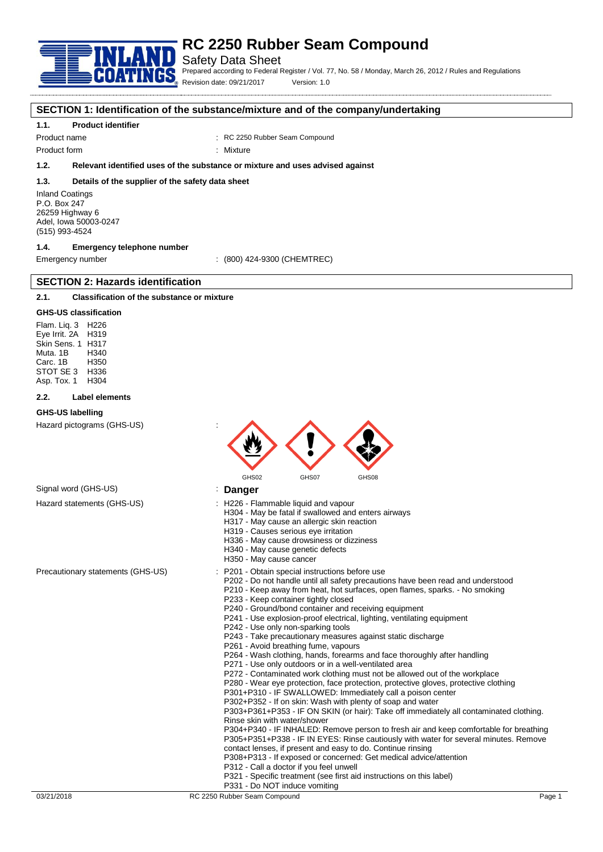

Safety Data Sheet

Prepared according to Federal Register / Vol. 77, No. 58 / Monday, March 26, 2012 / Rules and Regulations Revision date: 09/21/2017 Version: 1.0

#### **SECTION 1: Identification of the substance/mixture and of the company/undertaking**

#### **1.1. Product identifier**

Product name **1980** RC 2250 Rubber Seam Compound

Product form : Nixture

### **1.2. Relevant identified uses of the substance or mixture and uses advised against**

#### **1.3. Details of the supplier of the safety data sheet**

Inland Coatings P.O. Box 247 26259 Highway 6 Adel, Iowa 50003-0247 (515) 993-4524

### **1.4. Emergency telephone number**

**SECTION 2: Hazards identification**

Emergency number : (800) 424-9300 (CHEMTREC)

### **2.1. Classification of the substance or mixture**

#### **GHS-US classification**

Flam. Liq. 3 H226 Eye Irrit. 2A H319 Skin Sens. 1 H317 Muta. 1B H340 Carc. 1B STOT SE 3 H336<br>Asp Tox 1 H304 Asp. Tox. 1

#### **2.2. Label elements**

#### **GHS-US labelling**

Hazard pictograms (GHS-US) :



### Signal word (GHS-US) **in the US** is **Danger**

- Hazard statements (GHS-US) : H226 Flammable liquid and vapour
	- H304 May be fatal if swallowed and enters airways
		- H317 May cause an allergic skin reaction
		- H319 Causes serious eye irritation
		- H336 May cause drowsiness or dizziness
		- H340 May cause genetic defects
		- H350 May cause cancer
- Precautionary statements (GHS-US) : P201 Obtain special instructions before use
	- P202 Do not handle until all safety precautions have been read and understood
	- P210 Keep away from heat, hot surfaces, open flames, sparks. No smoking P233 - Keep container tightly closed
	- P240 Ground/bond container and receiving equipment
	- P241 Use explosion-proof electrical, lighting, ventilating equipment
	- P242 Use only non-sparking tools
	- P243 Take precautionary measures against static discharge
	- P261 Avoid breathing fume, vapours
	- P264 Wash clothing, hands, forearms and face thoroughly after handling
	- P271 Use only outdoors or in a well-ventilated area
	- P272 Contaminated work clothing must not be allowed out of the workplace
	- P280 Wear eye protection, face protection, protective gloves, protective clothing
	- P301+P310 IF SWALLOWED: Immediately call a poison center
	- P302+P352 If on skin: Wash with plenty of soap and water

P303+P361+P353 - IF ON SKIN (or hair): Take off immediately all contaminated clothing. Rinse skin with water/shower

P304+P340 - IF INHALED: Remove person to fresh air and keep comfortable for breathing P305+P351+P338 - IF IN EYES: Rinse cautiously with water for several minutes. Remove contact lenses, if present and easy to do. Continue rinsing

- P308+P313 If exposed or concerned: Get medical advice/attention
- P312 Call a doctor if you feel unwell
- P321 Specific treatment (see first aid instructions on this label)
- P331 Do NOT induce vomiting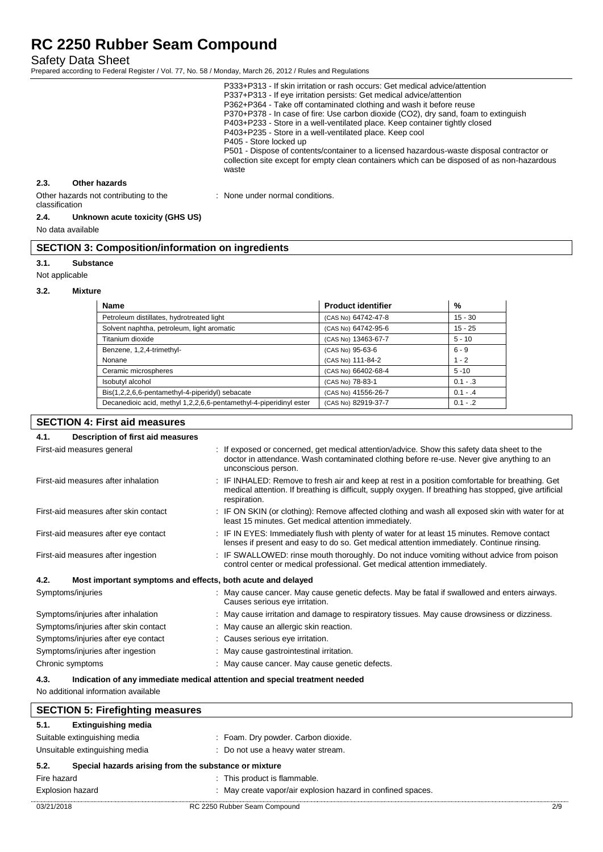Safety Data Sheet

Prepared according to Federal Register / Vol. 77, No. 58 / Monday, March 26, 2012 / Rules and Regulations

P333+P313 - If skin irritation or rash occurs: Get medical advice/attention P337+P313 - If eye irritation persists: Get medical advice/attention P362+P364 - Take off contaminated clothing and wash it before reuse P370+P378 - In case of fire: Use carbon dioxide (CO2), dry sand, foam to extinguish P403+P233 - Store in a well-ventilated place. Keep container tightly closed P403+P235 - Store in a well-ventilated place. Keep cool P405 - Store locked up P501 - Dispose of contents/container to a licensed hazardous-waste disposal contractor or collection site except for empty clean containers which can be disposed of as non-hazardous waste **2.3. Other hazards** Other hazards not contributing to the : None under normal conditions.

# classification

### **2.4. Unknown acute toxicity (GHS US)**

No data available

| <b>SECTION 3: Composition/information on ingredients</b> |  |
|----------------------------------------------------------|--|
|----------------------------------------------------------|--|

#### **3.1. Substance**

Not applicable

#### **3.2. Mixture**

| <b>Name</b>                                                        | <b>Product identifier</b> | %          |
|--------------------------------------------------------------------|---------------------------|------------|
| Petroleum distillates, hydrotreated light                          | (CAS No) 64742-47-8       | $15 - 30$  |
| Solvent naphtha, petroleum, light aromatic                         | (CAS No) 64742-95-6       | $15 - 25$  |
| Titanium dioxide                                                   | (CAS No) 13463-67-7       | $5 - 10$   |
| Benzene, 1,2,4-trimethyl-                                          | (CAS No) 95-63-6          | $6 - 9$    |
| Nonane                                                             | (CAS No) 111-84-2         | $1 - 2$    |
| Ceramic microspheres                                               | (CAS No) 66402-68-4       | $5 - 10$   |
| Isobutyl alcohol                                                   | (CAS No) 78-83-1          | $0.1 - .3$ |
| Bis(1,2,2,6,6-pentamethyl-4-piperidyl) sebacate                    | (CAS No) 41556-26-7       | $0.1 - .4$ |
| Decanedioic acid, methyl 1,2,2,6,6-pentamethyl-4-piperidinyl ester | (CAS No) 82919-37-7       | $0.1 - .2$ |

### **SECTION 4: First aid measures**

#### **4.1. Description of first aid measures** First-aid measures general interest of the state of the sposed or concerned, get medical attention/advice. Show this safety data sheet to the doctor in attendance. Wash contaminated clothing before re-use. Never give anything to an unconscious person. First-aid measures after inhalation : IF INHALED: Remove to fresh air and keep at rest in a position comfortable for breathing. Get

|                                       | medical attention. If breathing is difficult, supply oxygen. If breathing has stopped, give artificial<br>respiration.                                                                  |
|---------------------------------------|-----------------------------------------------------------------------------------------------------------------------------------------------------------------------------------------|
| First-aid measures after skin contact | IF ON SKIN (or clothing): Remove affected clothing and wash all exposed skin with water for at<br>least 15 minutes. Get medical attention immediately.                                  |
| First-aid measures after eye contact  | IF IN EYES: Immediately flush with plenty of water for at least 15 minutes. Remove contact<br>lenses if present and easy to do so. Get medical attention immediately. Continue rinsing. |
| First-aid measures after ingestion    | IF SWALLOWED: rinse mouth thoroughly. Do not induce vomiting without advice from poison<br>control center or medical professional. Get medical attention immediately.                   |
| 4.2.                                  | Most important symptoms and effects, both acute and delayed                                                                                                                             |
| Symptoms/injuries                     | : May cause cancer. May cause genetic defects. May be fatal if swallowed and enters airways.<br>Causes serious eye irritation.                                                          |
| Symptoms/injuries after inhalation    | : May cause irritation and damage to respiratory tissues. May cause drowsiness or dizziness.                                                                                            |
| Symptoms/injuries after skin contact  | : May cause an allergic skin reaction.                                                                                                                                                  |
| Symptoms/injuries after eye contact   | : Causes serious eye irritation.                                                                                                                                                        |
| Symptoms/injuries after ingestion     | : May cause gastrointestinal irritation.                                                                                                                                                |
| Chronic symptoms                      | : May cause cancer. May cause genetic defects.                                                                                                                                          |

#### **4.3. Indication of any immediate medical attention and special treatment needed**

No additional information available

| <b>SECTION 5: Firefighting measures</b> |                                |                                                             |     |
|-----------------------------------------|--------------------------------|-------------------------------------------------------------|-----|
| 5.1.                                    | <b>Extinguishing media</b>     |                                                             |     |
|                                         | Suitable extinguishing media   | : Foam. Dry powder. Carbon dioxide.                         |     |
|                                         | Unsuitable extinguishing media | : Do not use a heavy water stream.                          |     |
| 5.2.                                    |                                | Special hazards arising from the substance or mixture       |     |
| Fire hazard                             |                                | : This product is flammable.                                |     |
| <b>Explosion hazard</b>                 |                                | : May create vapor/air explosion hazard in confined spaces. |     |
| 03/21/2018                              |                                | RC 2250 Rubber Seam Compound                                | 2/9 |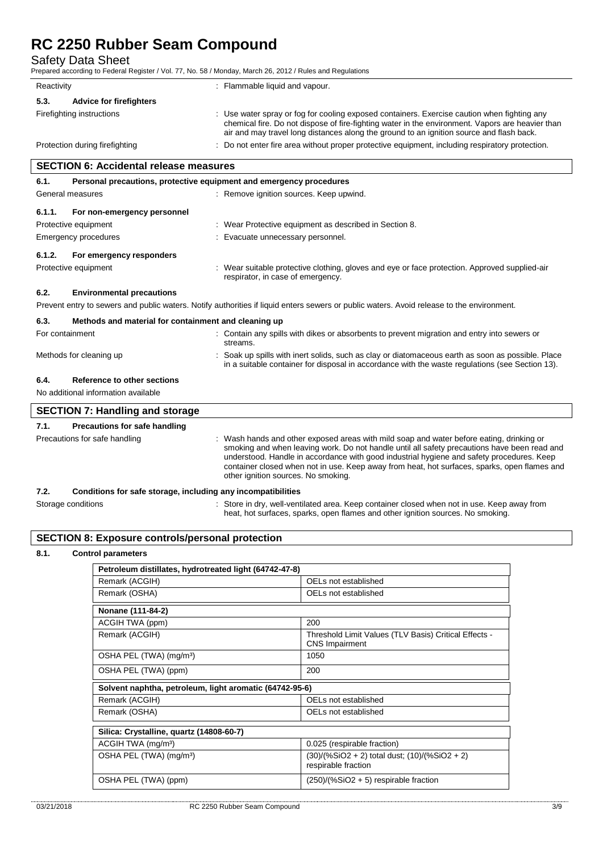Safety Data Sheet

Prepared according to Federal Register / Vol. 77, No. 58 / Monday, March 26, 2012 / Rules and Regulations

| Reactivity                                    | : Flammable liquid and vapour.                                                                                                                                                                                                                                                              |
|-----------------------------------------------|---------------------------------------------------------------------------------------------------------------------------------------------------------------------------------------------------------------------------------------------------------------------------------------------|
| <b>Advice for firefighters</b><br>5.3.        |                                                                                                                                                                                                                                                                                             |
| Firefighting instructions                     | : Use water spray or fog for cooling exposed containers. Exercise caution when fighting any<br>chemical fire. Do not dispose of fire-fighting water in the environment. Vapors are heavier than<br>air and may travel long distances along the ground to an ignition source and flash back. |
| Protection during firefighting                | : Do not enter fire area without proper protective equipment, including respiratory protection.                                                                                                                                                                                             |
| <b>SECTION 6: Accidental release measures</b> |                                                                                                                                                                                                                                                                                             |
|                                               |                                                                                                                                                                                                                                                                                             |

| 6.1.             | Personal precautions, protective equipment and emergency procedures |  |                                                                                                                                                                                                    |  |  |  |
|------------------|---------------------------------------------------------------------|--|----------------------------------------------------------------------------------------------------------------------------------------------------------------------------------------------------|--|--|--|
| General measures |                                                                     |  | : Remove ignition sources. Keep upwind.                                                                                                                                                            |  |  |  |
| 6.1.1.           | For non-emergency personnel                                         |  |                                                                                                                                                                                                    |  |  |  |
|                  | Protective equipment                                                |  | : Wear Protective equipment as described in Section 8.                                                                                                                                             |  |  |  |
|                  | Emergency procedures                                                |  | Evacuate unnecessary personnel.                                                                                                                                                                    |  |  |  |
| 6.1.2.           | For emergency responders                                            |  |                                                                                                                                                                                                    |  |  |  |
|                  | Protective equipment                                                |  | : Wear suitable protective clothing, gloves and eye or face protection. Approved supplied-air<br>respirator, in case of emergency.                                                                 |  |  |  |
| 6.2.             | <b>Environmental precautions</b>                                    |  |                                                                                                                                                                                                    |  |  |  |
|                  |                                                                     |  | Prevent entry to sewers and public waters. Notify authorities if liquid enters sewers or public waters. Avoid release to the environment.                                                          |  |  |  |
| 6.3.             | Methods and material for containment and cleaning up                |  |                                                                                                                                                                                                    |  |  |  |
| For containment  |                                                                     |  | : Contain any spills with dikes or absorbents to prevent migration and entry into sewers or<br>streams.                                                                                            |  |  |  |
|                  | Methods for cleaning up                                             |  | Soak up spills with inert solids, such as clay or diatomaceous earth as soon as possible. Place<br>in a suitable container for disposal in accordance with the waste regulations (see Section 13). |  |  |  |
| 6.4.             | Reference to other sections                                         |  |                                                                                                                                                                                                    |  |  |  |
|                  | No additional information available                                 |  |                                                                                                                                                                                                    |  |  |  |
|                  | <b>SECTION 7: Handling and storage</b>                              |  |                                                                                                                                                                                                    |  |  |  |
| 7.1.             | Precautions for safe handling                                       |  |                                                                                                                                                                                                    |  |  |  |
|                  | Precautions for safe handling                                       |  | Wash hands and other exposed areas with mild soap and water before eating, drinking or<br>smoking and when leaving work. Do not handle until all safety precautions have been read and             |  |  |  |

#### **7.2. Conditions for safe storage, including any incompatibilities**

| .                  | Conditions for safe storage, including any incompatibilities                              |
|--------------------|-------------------------------------------------------------------------------------------|
| Storage conditions | Store in dry, well-ventilated area. Keep container closed when not in use. Keep away from |
|                    | heat, hot surfaces, sparks, open flames and other ignition sources. No smoking.           |

other ignition sources. No smoking.

understood. Handle in accordance with good industrial hygiene and safety procedures. Keep container closed when not in use. Keep away from heat, hot surfaces, sparks, open flames and

### **SECTION 8: Exposure controls/personal protection**

#### **8.1. Control parameters**

| Petroleum distillates, hydrotreated light (64742-47-8)  |                                                                                |  |
|---------------------------------------------------------|--------------------------------------------------------------------------------|--|
| Remark (ACGIH)                                          | OELs not established                                                           |  |
| Remark (OSHA)                                           | OELs not established                                                           |  |
| Nonane (111-84-2)                                       |                                                                                |  |
| ACGIH TWA (ppm)                                         | 200                                                                            |  |
| Remark (ACGIH)                                          | Threshold Limit Values (TLV Basis) Critical Effects -<br><b>CNS Impairment</b> |  |
| OSHA PEL (TWA) (mg/m <sup>3</sup> )                     | 1050                                                                           |  |
| OSHA PEL (TWA) (ppm)                                    | 200                                                                            |  |
| Solvent naphtha, petroleum, light aromatic (64742-95-6) |                                                                                |  |
| Remark (ACGIH)                                          | OELs not established                                                           |  |
| Remark (OSHA)                                           | OELs not established                                                           |  |
| Silica: Crystalline, quartz (14808-60-7)                |                                                                                |  |
| ACGIH TWA (mg/m <sup>3</sup> )                          | 0.025 (respirable fraction)                                                    |  |
| OSHA PEL (TWA) (mg/m <sup>3</sup> )                     | (30)/(%SiO2 + 2) total dust; (10)/(%SiO2 + 2)<br>respirable fraction           |  |
| OSHA PEL (TWA) (ppm)                                    | $(250)/(%SiO2 + 5)$ respirable fraction                                        |  |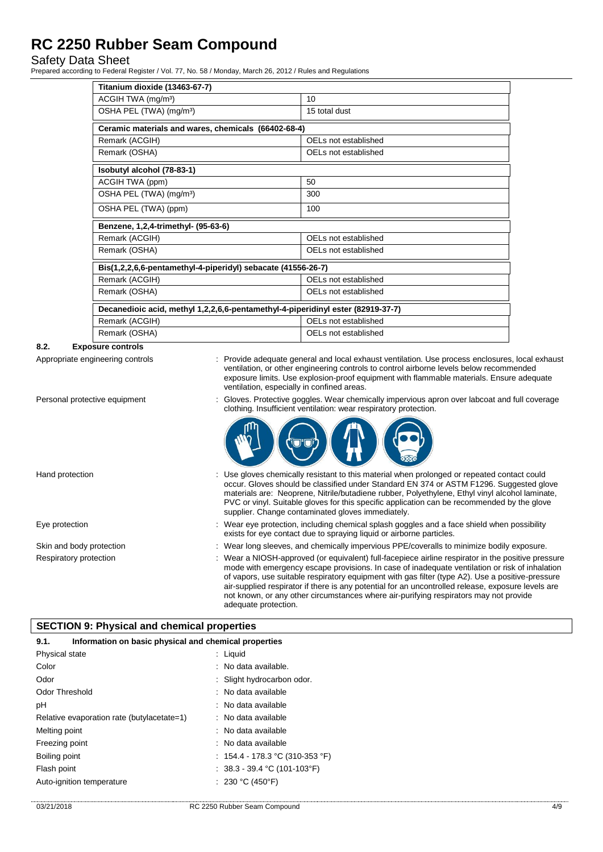### Safety Data Sheet

Prepared according to Federal Register / Vol. 77, No. 58 / Monday, March 26, 2012 / Rules and Regulations

| Titanium dioxide (13463-67-7)                                                   |                      |  |
|---------------------------------------------------------------------------------|----------------------|--|
|                                                                                 |                      |  |
| ACGIH TWA (mg/m <sup>3</sup> )                                                  | 10                   |  |
| OSHA PEL (TWA) (mg/m <sup>3</sup> )                                             | 15 total dust        |  |
| Ceramic materials and wares, chemicals (66402-68-4)                             |                      |  |
| Remark (ACGIH)                                                                  | OELs not established |  |
| Remark (OSHA)                                                                   | OELs not established |  |
| Isobutyl alcohol (78-83-1)                                                      |                      |  |
| ACGIH TWA (ppm)                                                                 | 50                   |  |
| OSHA PEL (TWA) (mg/m <sup>3</sup> )                                             | 300                  |  |
| OSHA PEL (TWA) (ppm)                                                            | 100                  |  |
| Benzene, 1,2,4-trimethyl- (95-63-6)                                             |                      |  |
| Remark (ACGIH)                                                                  | OELs not established |  |
| Remark (OSHA)                                                                   | OELs not established |  |
| Bis(1,2,2,6,6-pentamethyl-4-piperidyl) sebacate (41556-26-7)                    |                      |  |
| Remark (ACGIH)                                                                  | OELs not established |  |
| Remark (OSHA)                                                                   | OELs not established |  |
| Decanedioic acid, methyl 1,2,2,6,6-pentamethyl-4-piperidinyl ester (82919-37-7) |                      |  |
| Remark (ACGIH)                                                                  | OELs not established |  |
| Remark (OSHA)                                                                   | OELs not established |  |

#### **8.2. Exposure controls**

Appropriate engineering controls : Provide adequate general and local exhaust ventilation. Use process enclosures, local exhaust ventilation, or other engineering controls to control airborne levels below recommended exposure limits. Use explosion-proof equipment with flammable materials. Ensure adequate ventilation, especially in confined areas.

clothing. Insufficient ventilation: wear respiratory protection.

Personal protective equipment : Gloves. Protective goggles. Wear chemically impervious apron over labcoat and full coverage

#### Hand protection state of the state of the entire of the sistem of this material when prolonged or repeated contact could occur. Gloves should be classified under Standard EN 374 or ASTM F1296. Suggested glove materials are: Neoprene, Nitrile/butadiene rubber, Polyethylene, Ethyl vinyl alcohol laminate, PVC or vinyl. Suitable gloves for this specific application can be recommended by the glove supplier. Change contaminated gloves immediately.

- Eye protection **including the matter of the system** of the Wear eye protection, including chemical splash goggles and a face shield when possibility exists for eye contact due to spraying liquid or airborne particles.
- Skin and body protection : Wear long sleeves, and chemically impervious PPE/coveralls to minimize bodily exposure.
- Respiratory protection : Wear a NIOSH-approved (or equivalent) full-facepiece airline respirator in the positive pressure mode with emergency escape provisions. In case of inadequate ventilation or risk of inhalation of vapors, use suitable respiratory equipment with gas filter (type A2). Use a positive-pressure air-supplied respirator if there is any potential for an uncontrolled release, exposure levels are not known, or any other circumstances where air-purifying respirators may not provide adequate protection.

### **SECTION 9: Physical and chemical properties**

| Information on basic physical and chemical properties<br>9.1. |                                   |
|---------------------------------------------------------------|-----------------------------------|
| Physical state                                                | $:$ Liquid                        |
| Color                                                         | : No data available.              |
| Odor                                                          | : Slight hydrocarbon odor.        |
| Odor Threshold                                                | : No data available               |
| рH                                                            | : No data available               |
| Relative evaporation rate (butylacetate=1)                    | : No data available               |
| Melting point                                                 | : No data available               |
| Freezing point                                                | : No data available               |
| Boiling point                                                 | : $154.4 - 178.3$ °C (310-353 °F) |
| Flash point                                                   | : $38.3 - 39.4$ °C (101-103°F)    |
| Auto-ignition temperature                                     | : 230 °C (450°F)                  |
|                                                               |                                   |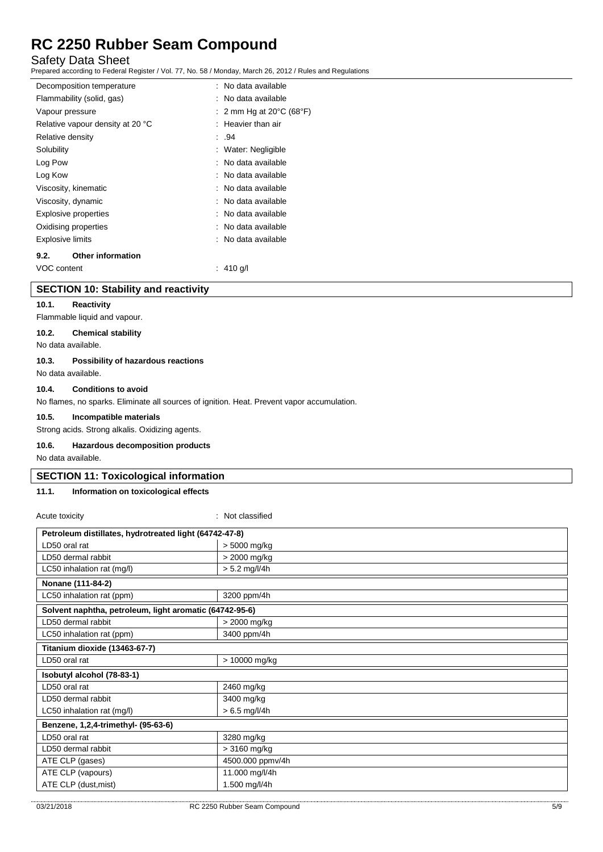Safety Data Sheet

Prepared according to Federal Register / Vol. 77, No. 58 / Monday, March 26, 2012 / Rules and Regulations

| Decomposition temperature        | : No data available                          |
|----------------------------------|----------------------------------------------|
| Flammability (solid, gas)        | : No data available                          |
| Vapour pressure                  | : 2 mm Hg at 20 $\degree$ C (68 $\degree$ F) |
| Relative vapour density at 20 °C | $:$ Heavier than air                         |
| Relative density                 | : .94                                        |
| Solubility                       | : Water: Negligible                          |
| Log Pow                          | : No data available                          |
| Log Kow                          | : No data available                          |
| Viscosity, kinematic             | : No data available                          |
| Viscosity, dynamic               | : No data available                          |
| <b>Explosive properties</b>      | : No data available                          |
| Oxidising properties             | : No data available                          |
| Explosive limits                 | : No data available                          |
| <b>Other information</b><br>9.2. |                                              |
| VOC content                      | : 410 g/l                                    |

#### **SECTION 10: Stability and reactivity**

#### **10.1. Reactivity**

Flammable liquid and vapour.

### **10.2. Chemical stability**

No data available.

#### **10.3. Possibility of hazardous reactions**

No data available.

#### **10.4. Conditions to avoid**

No flames, no sparks. Eliminate all sources of ignition. Heat. Prevent vapor accumulation.

#### **10.5. Incompatible materials**

Strong acids. Strong alkalis. Oxidizing agents.

#### **10.6. Hazardous decomposition products**

No data available.

#### **SECTION 11: Toxicological information**

### **11.1. Information on toxicological effects**

| Petroleum distillates, hydrotreated light (64742-47-8)<br>LD50 oral rat<br>> 5000 mg/kg<br>> 2000 mg/kg<br>LD50 dermal rabbit<br>$> 5.2$ mg/l/4h<br>LC50 inhalation rat (mg/l)<br>Nonane (111-84-2)<br>LC50 inhalation rat (ppm)<br>3200 ppm/4h<br>Solvent naphtha, petroleum, light aromatic (64742-95-6)<br>LD50 dermal rabbit<br>> 2000 mg/kg<br>3400 ppm/4h<br>LC50 inhalation rat (ppm)<br>Titanium dioxide (13463-67-7)<br>LD50 oral rat<br>> 10000 mg/kg<br>Isobutyl alcohol (78-83-1)<br>LD50 oral rat<br>2460 mg/kg<br>LD50 dermal rabbit<br>3400 mg/kg<br>$>6.5$ mg/l/4h<br>LC50 inhalation rat (mg/l)<br>Benzene, 1,2,4-trimethyl- (95-63-6)<br>3280 mg/kg<br>LD50 oral rat | Acute toxicity     | : Not classified |  |
|----------------------------------------------------------------------------------------------------------------------------------------------------------------------------------------------------------------------------------------------------------------------------------------------------------------------------------------------------------------------------------------------------------------------------------------------------------------------------------------------------------------------------------------------------------------------------------------------------------------------------------------------------------------------------------------|--------------------|------------------|--|
|                                                                                                                                                                                                                                                                                                                                                                                                                                                                                                                                                                                                                                                                                        |                    |                  |  |
|                                                                                                                                                                                                                                                                                                                                                                                                                                                                                                                                                                                                                                                                                        |                    |                  |  |
|                                                                                                                                                                                                                                                                                                                                                                                                                                                                                                                                                                                                                                                                                        |                    |                  |  |
|                                                                                                                                                                                                                                                                                                                                                                                                                                                                                                                                                                                                                                                                                        |                    |                  |  |
|                                                                                                                                                                                                                                                                                                                                                                                                                                                                                                                                                                                                                                                                                        |                    |                  |  |
|                                                                                                                                                                                                                                                                                                                                                                                                                                                                                                                                                                                                                                                                                        |                    |                  |  |
|                                                                                                                                                                                                                                                                                                                                                                                                                                                                                                                                                                                                                                                                                        |                    |                  |  |
|                                                                                                                                                                                                                                                                                                                                                                                                                                                                                                                                                                                                                                                                                        |                    |                  |  |
|                                                                                                                                                                                                                                                                                                                                                                                                                                                                                                                                                                                                                                                                                        |                    |                  |  |
|                                                                                                                                                                                                                                                                                                                                                                                                                                                                                                                                                                                                                                                                                        |                    |                  |  |
|                                                                                                                                                                                                                                                                                                                                                                                                                                                                                                                                                                                                                                                                                        |                    |                  |  |
|                                                                                                                                                                                                                                                                                                                                                                                                                                                                                                                                                                                                                                                                                        |                    |                  |  |
|                                                                                                                                                                                                                                                                                                                                                                                                                                                                                                                                                                                                                                                                                        |                    |                  |  |
|                                                                                                                                                                                                                                                                                                                                                                                                                                                                                                                                                                                                                                                                                        |                    |                  |  |
|                                                                                                                                                                                                                                                                                                                                                                                                                                                                                                                                                                                                                                                                                        |                    |                  |  |
|                                                                                                                                                                                                                                                                                                                                                                                                                                                                                                                                                                                                                                                                                        |                    |                  |  |
|                                                                                                                                                                                                                                                                                                                                                                                                                                                                                                                                                                                                                                                                                        |                    |                  |  |
|                                                                                                                                                                                                                                                                                                                                                                                                                                                                                                                                                                                                                                                                                        | LD50 dermal rabbit | > 3160 mg/kg     |  |
| ATE CLP (gases)<br>4500.000 ppmv/4h                                                                                                                                                                                                                                                                                                                                                                                                                                                                                                                                                                                                                                                    |                    |                  |  |
| ATE CLP (vapours)<br>11.000 mg/l/4h                                                                                                                                                                                                                                                                                                                                                                                                                                                                                                                                                                                                                                                    |                    |                  |  |
| ATE CLP (dust, mist)<br>1.500 mg/l/4h                                                                                                                                                                                                                                                                                                                                                                                                                                                                                                                                                                                                                                                  |                    |                  |  |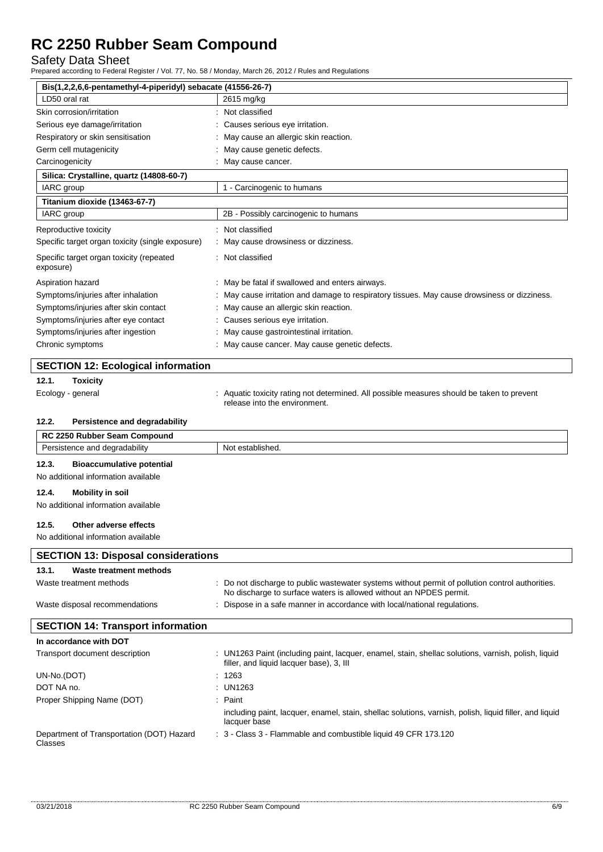Safety Data Sheet

Prepared according to Federal Register / Vol. 77, No. 58 / Monday, March 26, 2012 / Rules and Regulations

| Bis(1,2,2,6,6-pentamethyl-4-piperidyl) sebacate (41556-26-7)       |                                                                                                                                                                      |  |
|--------------------------------------------------------------------|----------------------------------------------------------------------------------------------------------------------------------------------------------------------|--|
| LD50 oral rat                                                      | 2615 mg/kg                                                                                                                                                           |  |
| Skin corrosion/irritation                                          | : Not classified                                                                                                                                                     |  |
| Serious eye damage/irritation                                      | Causes serious eye irritation.                                                                                                                                       |  |
| Respiratory or skin sensitisation                                  | May cause an allergic skin reaction.                                                                                                                                 |  |
| Germ cell mutagenicity                                             | May cause genetic defects.                                                                                                                                           |  |
| Carcinogenicity                                                    | May cause cancer.                                                                                                                                                    |  |
| Silica: Crystalline, quartz (14808-60-7)                           |                                                                                                                                                                      |  |
| IARC group                                                         | 1 - Carcinogenic to humans                                                                                                                                           |  |
| Titanium dioxide (13463-67-7)                                      |                                                                                                                                                                      |  |
| IARC group                                                         | 2B - Possibly carcinogenic to humans                                                                                                                                 |  |
| Reproductive toxicity                                              | Not classified                                                                                                                                                       |  |
| Specific target organ toxicity (single exposure)                   | May cause drowsiness or dizziness.                                                                                                                                   |  |
| Specific target organ toxicity (repeated<br>exposure)              | Not classified                                                                                                                                                       |  |
| Aspiration hazard                                                  | May be fatal if swallowed and enters airways.                                                                                                                        |  |
| Symptoms/injuries after inhalation                                 | May cause irritation and damage to respiratory tissues. May cause drowsiness or dizziness.                                                                           |  |
| Symptoms/injuries after skin contact                               | May cause an allergic skin reaction.                                                                                                                                 |  |
| Symptoms/injuries after eye contact                                | Causes serious eye irritation.                                                                                                                                       |  |
| Symptoms/injuries after ingestion                                  | May cause gastrointestinal irritation.                                                                                                                               |  |
| Chronic symptoms                                                   | May cause cancer. May cause genetic defects.                                                                                                                         |  |
|                                                                    |                                                                                                                                                                      |  |
| <b>SECTION 12: Ecological information</b>                          |                                                                                                                                                                      |  |
| 12.1.<br><b>Toxicity</b>                                           |                                                                                                                                                                      |  |
| Ecology - general                                                  | : Aquatic toxicity rating not determined. All possible measures should be taken to prevent                                                                           |  |
|                                                                    | release into the environment.                                                                                                                                        |  |
|                                                                    |                                                                                                                                                                      |  |
| 12.2.<br>Persistence and degradability                             |                                                                                                                                                                      |  |
|                                                                    |                                                                                                                                                                      |  |
| RC 2250 Rubber Seam Compound<br>Persistence and degradability      | Not established.                                                                                                                                                     |  |
|                                                                    |                                                                                                                                                                      |  |
| 12.3.<br><b>Bioaccumulative potential</b>                          |                                                                                                                                                                      |  |
| No additional information available                                |                                                                                                                                                                      |  |
| 12.4.<br><b>Mobility in soil</b>                                   |                                                                                                                                                                      |  |
| No additional information available                                |                                                                                                                                                                      |  |
| 12.5.<br>Other adverse effects                                     |                                                                                                                                                                      |  |
| No additional information available                                |                                                                                                                                                                      |  |
| <b>SECTION 13: Disposal considerations</b>                         |                                                                                                                                                                      |  |
|                                                                    |                                                                                                                                                                      |  |
| 13.1.<br><b>Waste treatment methods</b><br>Waste treatment methods | Do not discharge to public wastewater systems without permit of pollution control authorities.<br>No discharge to surface waters is allowed without an NPDES permit. |  |
| Waste disposal recommendations                                     | : Dispose in a safe manner in accordance with local/national regulations.                                                                                            |  |
|                                                                    |                                                                                                                                                                      |  |
| <b>SECTION 14: Transport information</b>                           |                                                                                                                                                                      |  |
| In accordance with DOT                                             |                                                                                                                                                                      |  |
| Transport document description                                     | : UN1263 Paint (including paint, lacquer, enamel, stain, shellac solutions, varnish, polish, liquid<br>filler, and liquid lacquer base), 3, III                      |  |
| UN-No.(DOT)                                                        | : 1263                                                                                                                                                               |  |
| DOT NA no.                                                         | UN1263                                                                                                                                                               |  |
| Proper Shipping Name (DOT)                                         | : Paint                                                                                                                                                              |  |
|                                                                    | including paint, lacquer, enamel, stain, shellac solutions, varnish, polish, liquid filler, and liquid<br>lacquer base                                               |  |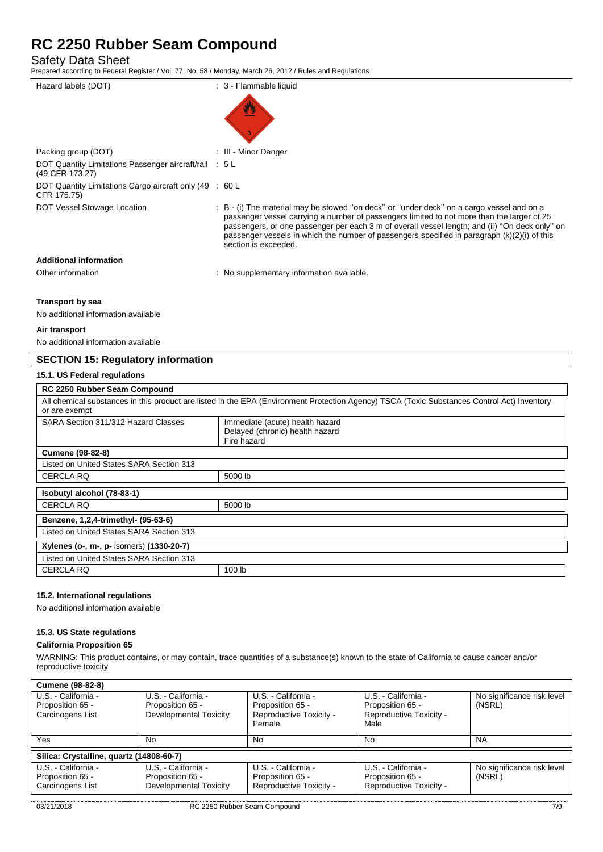Safety Data Sheet

Prepared according to Federal Register / Vol. 77, No. 58 / Monday, March 26, 2012 / Rules and Regulations

| Hazard labels (DOT)                                                       | : 3 - Flammable liquid                                                                                                                                                                                                                                                                                                                                                                                              |
|---------------------------------------------------------------------------|---------------------------------------------------------------------------------------------------------------------------------------------------------------------------------------------------------------------------------------------------------------------------------------------------------------------------------------------------------------------------------------------------------------------|
|                                                                           |                                                                                                                                                                                                                                                                                                                                                                                                                     |
| Packing group (DOT)                                                       | : III - Minor Danger                                                                                                                                                                                                                                                                                                                                                                                                |
| DOT Quantity Limitations Passenger aircraft/rail : 5 L<br>(49 CFR 173.27) |                                                                                                                                                                                                                                                                                                                                                                                                                     |
| DOT Quantity Limitations Cargo aircraft only (49 : 60 L<br>CFR 175.75)    |                                                                                                                                                                                                                                                                                                                                                                                                                     |
| DOT Vessel Stowage Location                                               | : B - (i) The material may be stowed "on deck" or "under deck" on a cargo vessel and on a<br>passenger vessel carrying a number of passengers limited to not more than the larger of 25<br>passengers, or one passenger per each 3 m of overall vessel length; and (ii) "On deck only" on<br>passenger vessels in which the number of passengers specified in paragraph $(k)(2)(i)$ of this<br>section is exceeded. |
| <b>Additional information</b>                                             |                                                                                                                                                                                                                                                                                                                                                                                                                     |
| Other information                                                         | : No supplementary information available.                                                                                                                                                                                                                                                                                                                                                                           |

#### **Transport by sea**

No additional information available

#### **Air transport**

No additional information available

### **SECTION 15: Regulatory information**

#### **15.1. US Federal regulations**

| RC 2250 Rubber Seam Compound                                                                                                                                 |                                                                                   |  |
|--------------------------------------------------------------------------------------------------------------------------------------------------------------|-----------------------------------------------------------------------------------|--|
| All chemical substances in this product are listed in the EPA (Environment Protection Agency) TSCA (Toxic Substances Control Act) Inventory<br>or are exempt |                                                                                   |  |
| SARA Section 311/312 Hazard Classes                                                                                                                          | Immediate (acute) health hazard<br>Delayed (chronic) health hazard<br>Fire hazard |  |
| <b>Cumene (98-82-8)</b>                                                                                                                                      |                                                                                   |  |
| Listed on United States SARA Section 313                                                                                                                     |                                                                                   |  |
| CERCLA RQ                                                                                                                                                    | 5000 lb                                                                           |  |
| Isobutyl alcohol (78-83-1)                                                                                                                                   |                                                                                   |  |
| <b>CERCLA RQ</b>                                                                                                                                             | 5000 lb                                                                           |  |
| Benzene, 1,2,4-trimethyl- (95-63-6)                                                                                                                          |                                                                                   |  |
| Listed on United States SARA Section 313                                                                                                                     |                                                                                   |  |
| Xylenes (o-, m-, p- isomers) (1330-20-7)                                                                                                                     |                                                                                   |  |
| Listed on United States SARA Section 313                                                                                                                     |                                                                                   |  |
| <b>CERCLA RQ</b>                                                                                                                                             | 100 lb                                                                            |  |

#### **15.2. International regulations**

No additional information available

#### **15.3. US State regulations**

#### **California Proposition 65**

WARNING: This product contains, or may contain, trace quantities of a substance(s) known to the state of California to cause cancer and/or reproductive toxicity

| U.S. - California -                      | U.S. - California -                        | U.S. - California -                                   | No significance risk level                          |
|------------------------------------------|--------------------------------------------|-------------------------------------------------------|-----------------------------------------------------|
|                                          |                                            |                                                       | (NSRL)                                              |
|                                          |                                            |                                                       |                                                     |
|                                          |                                            |                                                       |                                                     |
| No                                       | No                                         | No                                                    | <b>NA</b>                                           |
|                                          |                                            |                                                       |                                                     |
| Silica: Crystalline, quartz (14808-60-7) |                                            |                                                       |                                                     |
| U.S. - California -                      | U.S. - California -                        | U.S. - California -                                   | No significance risk level                          |
| Proposition 65 -                         | Proposition 65 -                           | Proposition 65 -                                      | (NSRL)                                              |
| <b>Developmental Toxicity</b>            | Reproductive Toxicity -                    | Reproductive Toxicity -                               |                                                     |
|                                          | Proposition 65 -<br>Developmental Toxicity | Proposition 65 -<br>Reproductive Toxicity -<br>Female | Proposition 65 -<br>Reproductive Toxicity -<br>Male |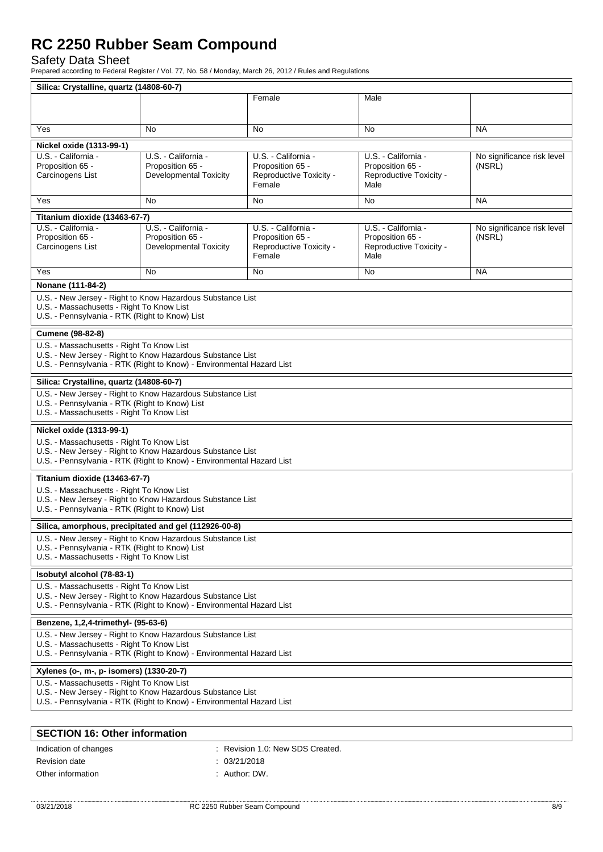## Safety Data Sheet

Prepared according to Federal Register / Vol. 77, No. 58 / Monday, March 26, 2012 / Rules and Regulations

| Silica: Crystalline, quartz (14808-60-7)                                                                                                                                         |                                                                                                                                                                                  |                                                                              |                                                                            |                                      |
|----------------------------------------------------------------------------------------------------------------------------------------------------------------------------------|----------------------------------------------------------------------------------------------------------------------------------------------------------------------------------|------------------------------------------------------------------------------|----------------------------------------------------------------------------|--------------------------------------|
|                                                                                                                                                                                  |                                                                                                                                                                                  | Female                                                                       | Male                                                                       |                                      |
| Yes                                                                                                                                                                              | No                                                                                                                                                                               | No                                                                           | No                                                                         | <b>NA</b>                            |
| Nickel oxide (1313-99-1)                                                                                                                                                         |                                                                                                                                                                                  |                                                                              |                                                                            |                                      |
| U.S. - California -<br>Proposition 65 -<br>Carcinogens List                                                                                                                      | U.S. - California -<br>Proposition 65 -<br><b>Developmental Toxicity</b>                                                                                                         | U.S. - California -<br>Proposition 65 -<br>Reproductive Toxicity -<br>Female | U.S. California<br>Proposition 65 -<br>Reproductive Toxicity -<br>Male     | No significance risk level<br>(NSRL) |
| Yes                                                                                                                                                                              | <b>No</b><br><b>NA</b><br>No<br>No                                                                                                                                               |                                                                              |                                                                            |                                      |
| Titanium dioxide (13463-67-7)                                                                                                                                                    |                                                                                                                                                                                  |                                                                              |                                                                            |                                      |
| U.S. - California -<br>Proposition 65 -<br>Carcinogens List                                                                                                                      | U.S. - California -<br>Proposition 65 -<br><b>Developmental Toxicity</b>                                                                                                         | U.S. - California -<br>Proposition 65 -<br>Reproductive Toxicity -<br>Female | U.S. - California -<br>Proposition 65 -<br>Reproductive Toxicity -<br>Male | No significance risk level<br>(NSRL) |
| Yes                                                                                                                                                                              | No                                                                                                                                                                               | No                                                                           | No                                                                         | <b>NA</b>                            |
| Nonane (111-84-2)                                                                                                                                                                |                                                                                                                                                                                  |                                                                              |                                                                            |                                      |
| U.S. - New Jersey - Right to Know Hazardous Substance List<br>U.S. - Massachusetts - Right To Know List<br>U.S. - Pennsylvania - RTK (Right to Know) List                        |                                                                                                                                                                                  |                                                                              |                                                                            |                                      |
| Cumene (98-82-8)                                                                                                                                                                 |                                                                                                                                                                                  |                                                                              |                                                                            |                                      |
| U.S. - Massachusetts - Right To Know List                                                                                                                                        | U.S. - New Jersey - Right to Know Hazardous Substance List<br>U.S. - Pennsylvania - RTK (Right to Know) - Environmental Hazard List                                              |                                                                              |                                                                            |                                      |
| Silica: Crystalline, quartz (14808-60-7)                                                                                                                                         |                                                                                                                                                                                  |                                                                              |                                                                            |                                      |
| U.S. - Pennsylvania - RTK (Right to Know) List<br>U.S. - Massachusetts - Right To Know List                                                                                      | U.S. - New Jersey - Right to Know Hazardous Substance List                                                                                                                       |                                                                              |                                                                            |                                      |
| Nickel oxide (1313-99-1)                                                                                                                                                         |                                                                                                                                                                                  |                                                                              |                                                                            |                                      |
|                                                                                                                                                                                  | U.S. - Massachusetts - Right To Know List<br>U.S. - New Jersey - Right to Know Hazardous Substance List<br>U.S. - Pennsylvania - RTK (Right to Know) - Environmental Hazard List |                                                                              |                                                                            |                                      |
| Titanium dioxide (13463-67-7)                                                                                                                                                    |                                                                                                                                                                                  |                                                                              |                                                                            |                                      |
| U.S. - Massachusetts - Right To Know List<br>U.S. - New Jersey - Right to Know Hazardous Substance List<br>U.S. - Pennsylvania - RTK (Right to Know) List                        |                                                                                                                                                                                  |                                                                              |                                                                            |                                      |
|                                                                                                                                                                                  | Silica, amorphous, precipitated and gel (112926-00-8)                                                                                                                            |                                                                              |                                                                            |                                      |
| U.S. - New Jersey - Right to Know Hazardous Substance List<br>U.S. - Pennsylvania - RTK (Right to Know) List<br>U.S. - Massachusetts - Right To Know List                        |                                                                                                                                                                                  |                                                                              |                                                                            |                                      |
| Isobutyl alcohol (78-83-1)                                                                                                                                                       |                                                                                                                                                                                  |                                                                              |                                                                            |                                      |
| U.S. - Massachusetts - Right To Know List<br>U.S. - New Jersey - Right to Know Hazardous Substance List<br>U.S. - Pennsylvania - RTK (Right to Know) - Environmental Hazard List |                                                                                                                                                                                  |                                                                              |                                                                            |                                      |
| Benzene, 1,2,4-trimethyl- (95-63-6)                                                                                                                                              |                                                                                                                                                                                  |                                                                              |                                                                            |                                      |
| U.S. - New Jersey - Right to Know Hazardous Substance List<br>U.S. - Massachusetts - Right To Know List<br>U.S. - Pennsylvania - RTK (Right to Know) - Environmental Hazard List |                                                                                                                                                                                  |                                                                              |                                                                            |                                      |
| Xylenes (o-, m-, p- isomers) (1330-20-7)                                                                                                                                         |                                                                                                                                                                                  |                                                                              |                                                                            |                                      |
| U.S. - Massachusetts - Right To Know List<br>U.S. - New Jersey - Right to Know Hazardous Substance List<br>U.S. - Pennsylvania - RTK (Right to Know) - Environmental Hazard List |                                                                                                                                                                                  |                                                                              |                                                                            |                                      |
|                                                                                                                                                                                  |                                                                                                                                                                                  |                                                                              |                                                                            |                                      |
| <b>SECTION 16: Other information</b>                                                                                                                                             |                                                                                                                                                                                  |                                                                              |                                                                            |                                      |

| Indication of changes | : Revision 1.0: New SDS Created. |
|-----------------------|----------------------------------|
| Revision date         | : 03/21/2018                     |
| Other information     | . Author: DW.                    |